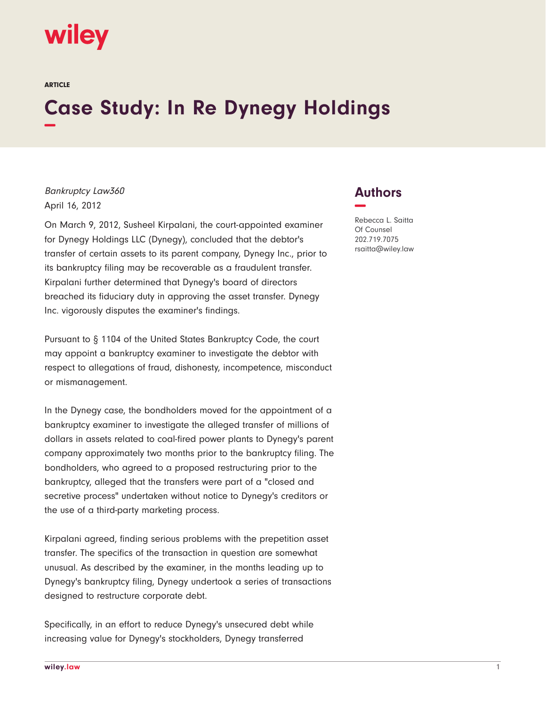

ARTICLE

## **Case Study: In Re Dynegy Holdings −**

Bankruptcy Law360 April 16, 2012

On March 9, 2012, Susheel Kirpalani, the court-appointed examiner for Dynegy Holdings LLC (Dynegy), concluded that the debtor's transfer of certain assets to its parent company, Dynegy Inc., prior to its bankruptcy filing may be recoverable as a fraudulent transfer. Kirpalani further determined that Dynegy's board of directors breached its fiduciary duty in approving the asset transfer. Dynegy Inc. vigorously disputes the examiner's findings.

Pursuant to § 1104 of the United States Bankruptcy Code, the court may appoint a bankruptcy examiner to investigate the debtor with respect to allegations of fraud, dishonesty, incompetence, misconduct or mismanagement.

In the Dynegy case, the bondholders moved for the appointment of a bankruptcy examiner to investigate the alleged transfer of millions of dollars in assets related to coal-fired power plants to Dynegy's parent company approximately two months prior to the bankruptcy filing. The bondholders, who agreed to a proposed restructuring prior to the bankruptcy, alleged that the transfers were part of a "closed and secretive process" undertaken without notice to Dynegy's creditors or the use of a third-party marketing process.

Kirpalani agreed, finding serious problems with the prepetition asset transfer. The specifics of the transaction in question are somewhat unusual. As described by the examiner, in the months leading up to Dynegy's bankruptcy filing, Dynegy undertook a series of transactions designed to restructure corporate debt.

Specifically, in an effort to reduce Dynegy's unsecured debt while increasing value for Dynegy's stockholders, Dynegy transferred



Rebecca L. Saitta Of Counsel 202.719.7075 rsaitta@wiley.law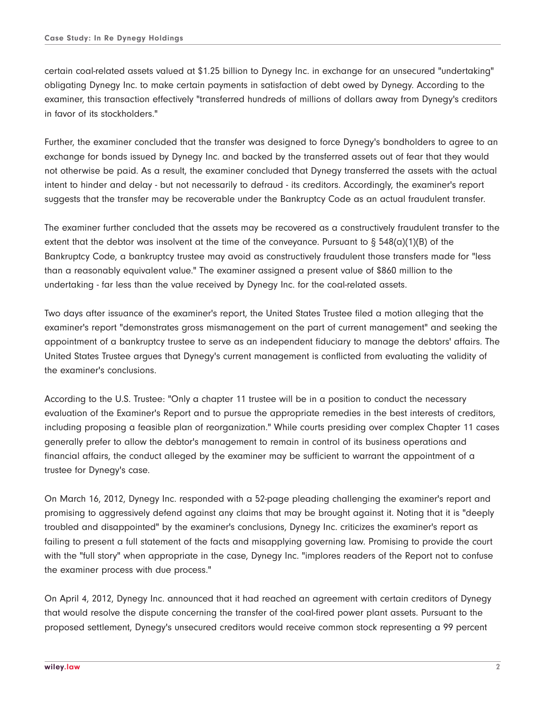certain coal-related assets valued at \$1.25 billion to Dynegy Inc. in exchange for an unsecured "undertaking" obligating Dynegy Inc. to make certain payments in satisfaction of debt owed by Dynegy. According to the examiner, this transaction effectively "transferred hundreds of millions of dollars away from Dynegy's creditors in favor of its stockholders."

Further, the examiner concluded that the transfer was designed to force Dynegy's bondholders to agree to an exchange for bonds issued by Dynegy Inc. and backed by the transferred assets out of fear that they would not otherwise be paid. As a result, the examiner concluded that Dynegy transferred the assets with the actual intent to hinder and delay - but not necessarily to defraud - its creditors. Accordingly, the examiner's report suggests that the transfer may be recoverable under the Bankruptcy Code as an actual fraudulent transfer.

The examiner further concluded that the assets may be recovered as a constructively fraudulent transfer to the extent that the debtor was insolvent at the time of the conveyance. Pursuant to  $\S 548(a)(1)(B)$  of the Bankruptcy Code, a bankruptcy trustee may avoid as constructively fraudulent those transfers made for "less than a reasonably equivalent value." The examiner assigned a present value of \$860 million to the undertaking - far less than the value received by Dynegy Inc. for the coal-related assets.

Two days after issuance of the examiner's report, the United States Trustee filed a motion alleging that the examiner's report "demonstrates gross mismanagement on the part of current management" and seeking the appointment of a bankruptcy trustee to serve as an independent fiduciary to manage the debtors' affairs. The United States Trustee argues that Dynegy's current management is conflicted from evaluating the validity of the examiner's conclusions.

According to the U.S. Trustee: "Only a chapter 11 trustee will be in a position to conduct the necessary evaluation of the Examiner's Report and to pursue the appropriate remedies in the best interests of creditors, including proposing a feasible plan of reorganization." While courts presiding over complex Chapter 11 cases generally prefer to allow the debtor's management to remain in control of its business operations and financial affairs, the conduct alleged by the examiner may be sufficient to warrant the appointment of a trustee for Dynegy's case.

On March 16, 2012, Dynegy Inc. responded with a 52-page pleading challenging the examiner's report and promising to aggressively defend against any claims that may be brought against it. Noting that it is "deeply troubled and disappointed" by the examiner's conclusions, Dynegy Inc. criticizes the examiner's report as failing to present a full statement of the facts and misapplying governing law. Promising to provide the court with the "full story" when appropriate in the case, Dynegy Inc. "implores readers of the Report not to confuse the examiner process with due process."

On April 4, 2012, Dynegy Inc. announced that it had reached an agreement with certain creditors of Dynegy that would resolve the dispute concerning the transfer of the coal-fired power plant assets. Pursuant to the proposed settlement, Dynegy's unsecured creditors would receive common stock representing a 99 percent